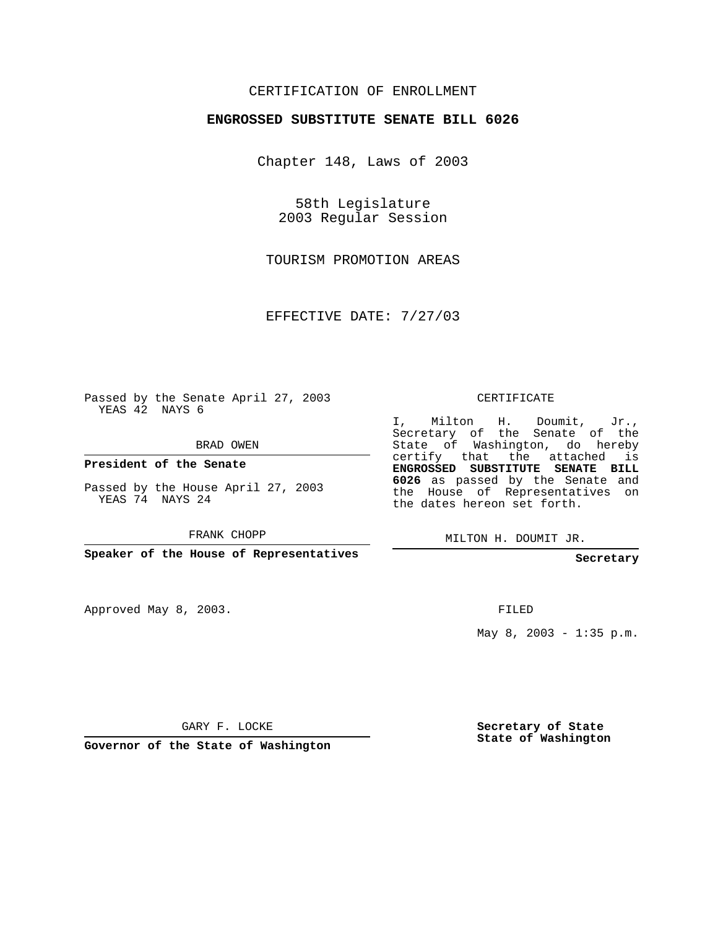## CERTIFICATION OF ENROLLMENT

## **ENGROSSED SUBSTITUTE SENATE BILL 6026**

Chapter 148, Laws of 2003

58th Legislature 2003 Regular Session

TOURISM PROMOTION AREAS

EFFECTIVE DATE: 7/27/03

Passed by the Senate April 27, 2003 YEAS 42 NAYS 6

BRAD OWEN

**President of the Senate**

Passed by the House April 27, 2003 YEAS 74 NAYS 24

FRANK CHOPP

**Speaker of the House of Representatives**

Approved May 8, 2003.

CERTIFICATE

I, Milton H. Doumit, Jr., Secretary of the Senate of the State of Washington, do hereby certify that the attached is **ENGROSSED SUBSTITUTE SENATE BILL 6026** as passed by the Senate and the House of Representatives on the dates hereon set forth.

MILTON H. DOUMIT JR.

**Secretary**

FILED

May  $8, 2003 - 1:35 p.m.$ 

GARY F. LOCKE

**Governor of the State of Washington**

**Secretary of State State of Washington**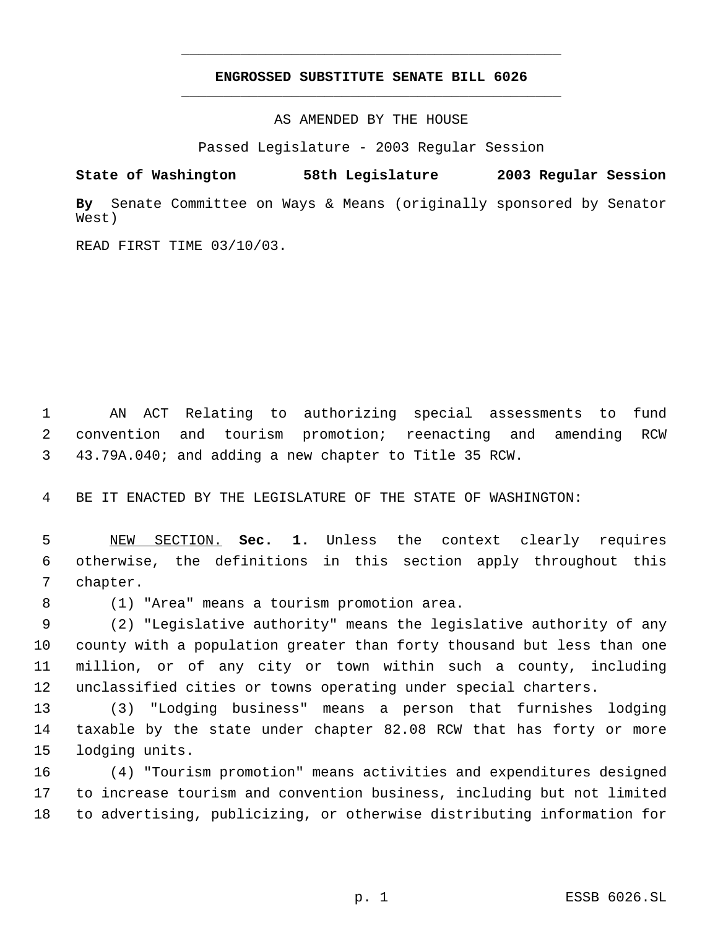## **ENGROSSED SUBSTITUTE SENATE BILL 6026** \_\_\_\_\_\_\_\_\_\_\_\_\_\_\_\_\_\_\_\_\_\_\_\_\_\_\_\_\_\_\_\_\_\_\_\_\_\_\_\_\_\_\_\_\_

\_\_\_\_\_\_\_\_\_\_\_\_\_\_\_\_\_\_\_\_\_\_\_\_\_\_\_\_\_\_\_\_\_\_\_\_\_\_\_\_\_\_\_\_\_

AS AMENDED BY THE HOUSE

Passed Legislature - 2003 Regular Session

**State of Washington 58th Legislature 2003 Regular Session**

**By** Senate Committee on Ways & Means (originally sponsored by Senator West)

READ FIRST TIME 03/10/03.

 AN ACT Relating to authorizing special assessments to fund convention and tourism promotion; reenacting and amending RCW 43.79A.040; and adding a new chapter to Title 35 RCW.

BE IT ENACTED BY THE LEGISLATURE OF THE STATE OF WASHINGTON:

 NEW SECTION. **Sec. 1.** Unless the context clearly requires otherwise, the definitions in this section apply throughout this chapter.

(1) "Area" means a tourism promotion area.

 (2) "Legislative authority" means the legislative authority of any county with a population greater than forty thousand but less than one million, or of any city or town within such a county, including unclassified cities or towns operating under special charters.

 (3) "Lodging business" means a person that furnishes lodging taxable by the state under chapter 82.08 RCW that has forty or more lodging units.

 (4) "Tourism promotion" means activities and expenditures designed to increase tourism and convention business, including but not limited to advertising, publicizing, or otherwise distributing information for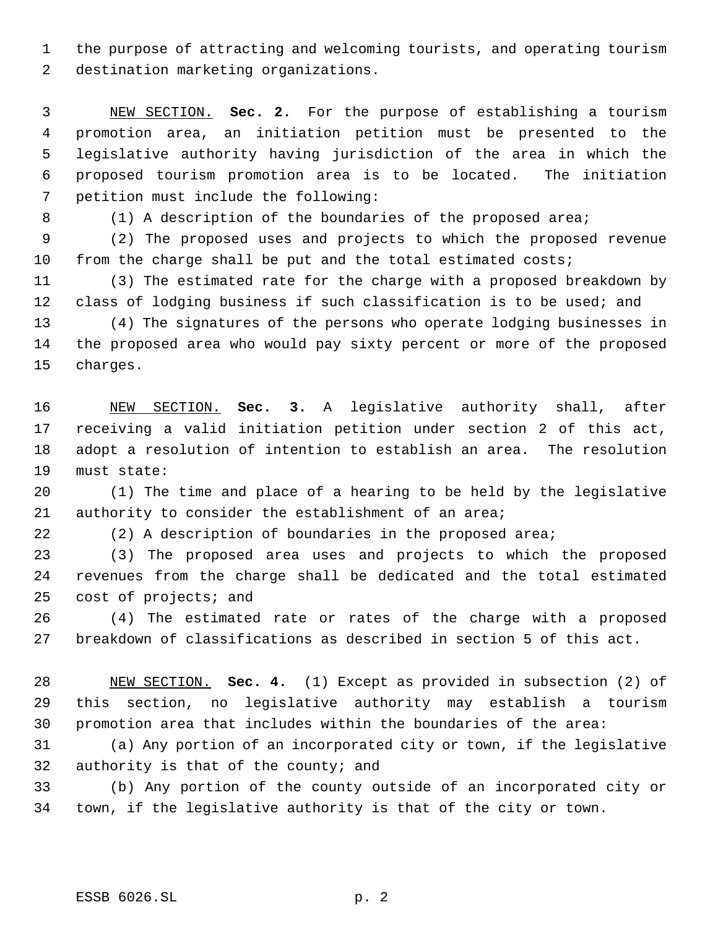the purpose of attracting and welcoming tourists, and operating tourism destination marketing organizations.

 NEW SECTION. **Sec. 2.** For the purpose of establishing a tourism promotion area, an initiation petition must be presented to the legislative authority having jurisdiction of the area in which the proposed tourism promotion area is to be located. The initiation petition must include the following:

8 (1) A description of the boundaries of the proposed area;

 (2) The proposed uses and projects to which the proposed revenue from the charge shall be put and the total estimated costs;

 (3) The estimated rate for the charge with a proposed breakdown by 12 class of lodging business if such classification is to be used; and

 (4) The signatures of the persons who operate lodging businesses in the proposed area who would pay sixty percent or more of the proposed charges.

 NEW SECTION. **Sec. 3.** A legislative authority shall, after receiving a valid initiation petition under section 2 of this act, adopt a resolution of intention to establish an area. The resolution must state:

 (1) The time and place of a hearing to be held by the legislative authority to consider the establishment of an area;

(2) A description of boundaries in the proposed area;

 (3) The proposed area uses and projects to which the proposed revenues from the charge shall be dedicated and the total estimated cost of projects; and

 (4) The estimated rate or rates of the charge with a proposed breakdown of classifications as described in section 5 of this act.

 NEW SECTION. **Sec. 4.** (1) Except as provided in subsection (2) of this section, no legislative authority may establish a tourism promotion area that includes within the boundaries of the area:

 (a) Any portion of an incorporated city or town, if the legislative authority is that of the county; and

 (b) Any portion of the county outside of an incorporated city or town, if the legislative authority is that of the city or town.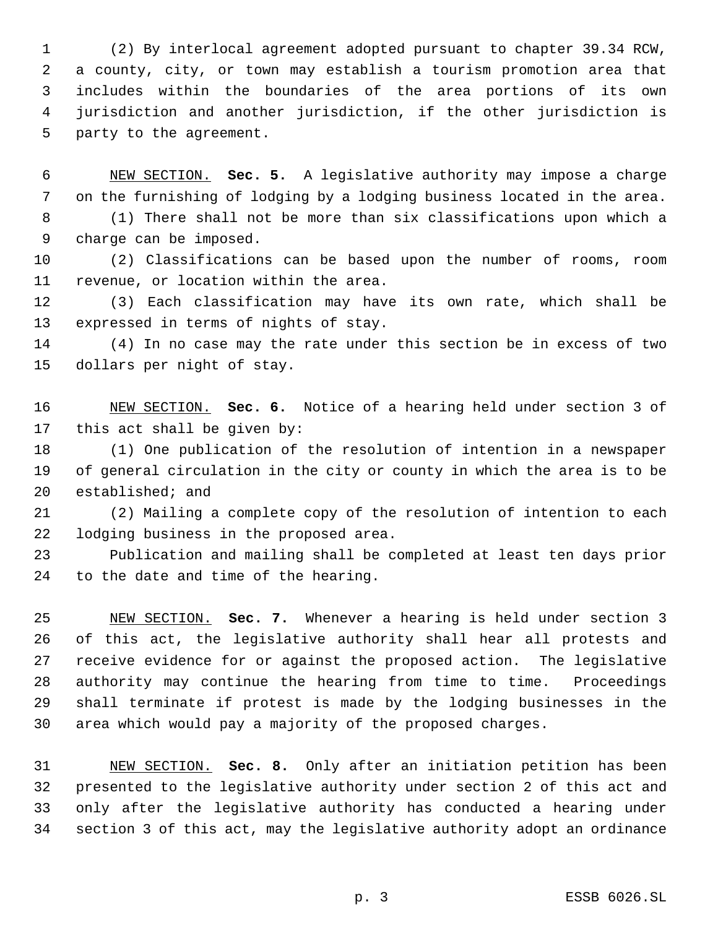(2) By interlocal agreement adopted pursuant to chapter 39.34 RCW, a county, city, or town may establish a tourism promotion area that includes within the boundaries of the area portions of its own jurisdiction and another jurisdiction, if the other jurisdiction is party to the agreement.

 NEW SECTION. **Sec. 5.** A legislative authority may impose a charge on the furnishing of lodging by a lodging business located in the area. (1) There shall not be more than six classifications upon which a charge can be imposed.

 (2) Classifications can be based upon the number of rooms, room revenue, or location within the area.

 (3) Each classification may have its own rate, which shall be expressed in terms of nights of stay.

 (4) In no case may the rate under this section be in excess of two dollars per night of stay.

 NEW SECTION. **Sec. 6.** Notice of a hearing held under section 3 of this act shall be given by:

 (1) One publication of the resolution of intention in a newspaper of general circulation in the city or county in which the area is to be established; and

 (2) Mailing a complete copy of the resolution of intention to each lodging business in the proposed area.

 Publication and mailing shall be completed at least ten days prior to the date and time of the hearing.

 NEW SECTION. **Sec. 7.** Whenever a hearing is held under section 3 of this act, the legislative authority shall hear all protests and receive evidence for or against the proposed action. The legislative authority may continue the hearing from time to time. Proceedings shall terminate if protest is made by the lodging businesses in the area which would pay a majority of the proposed charges.

 NEW SECTION. **Sec. 8.** Only after an initiation petition has been presented to the legislative authority under section 2 of this act and only after the legislative authority has conducted a hearing under section 3 of this act, may the legislative authority adopt an ordinance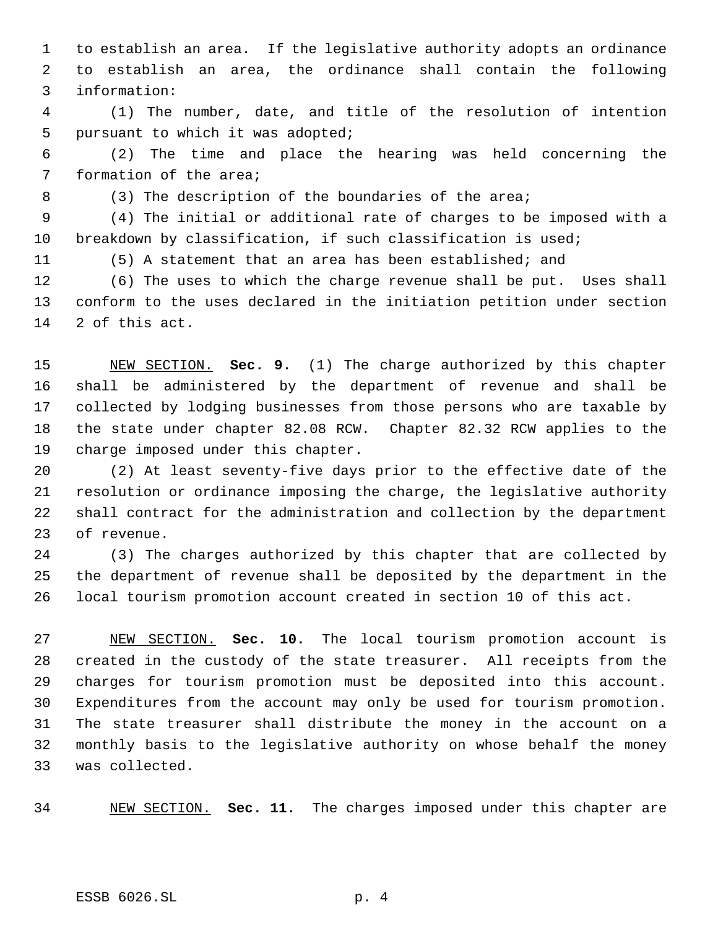to establish an area. If the legislative authority adopts an ordinance to establish an area, the ordinance shall contain the following information:

 (1) The number, date, and title of the resolution of intention pursuant to which it was adopted;

 (2) The time and place the hearing was held concerning the formation of the area;

8 (3) The description of the boundaries of the area;

 (4) The initial or additional rate of charges to be imposed with a breakdown by classification, if such classification is used;

(5) A statement that an area has been established; and

 (6) The uses to which the charge revenue shall be put. Uses shall conform to the uses declared in the initiation petition under section 2 of this act.

 NEW SECTION. **Sec. 9.** (1) The charge authorized by this chapter shall be administered by the department of revenue and shall be collected by lodging businesses from those persons who are taxable by the state under chapter 82.08 RCW. Chapter 82.32 RCW applies to the charge imposed under this chapter.

 (2) At least seventy-five days prior to the effective date of the resolution or ordinance imposing the charge, the legislative authority shall contract for the administration and collection by the department of revenue.

 (3) The charges authorized by this chapter that are collected by the department of revenue shall be deposited by the department in the local tourism promotion account created in section 10 of this act.

 NEW SECTION. **Sec. 10.** The local tourism promotion account is created in the custody of the state treasurer. All receipts from the charges for tourism promotion must be deposited into this account. Expenditures from the account may only be used for tourism promotion. The state treasurer shall distribute the money in the account on a monthly basis to the legislative authority on whose behalf the money was collected.

NEW SECTION. **Sec. 11.** The charges imposed under this chapter are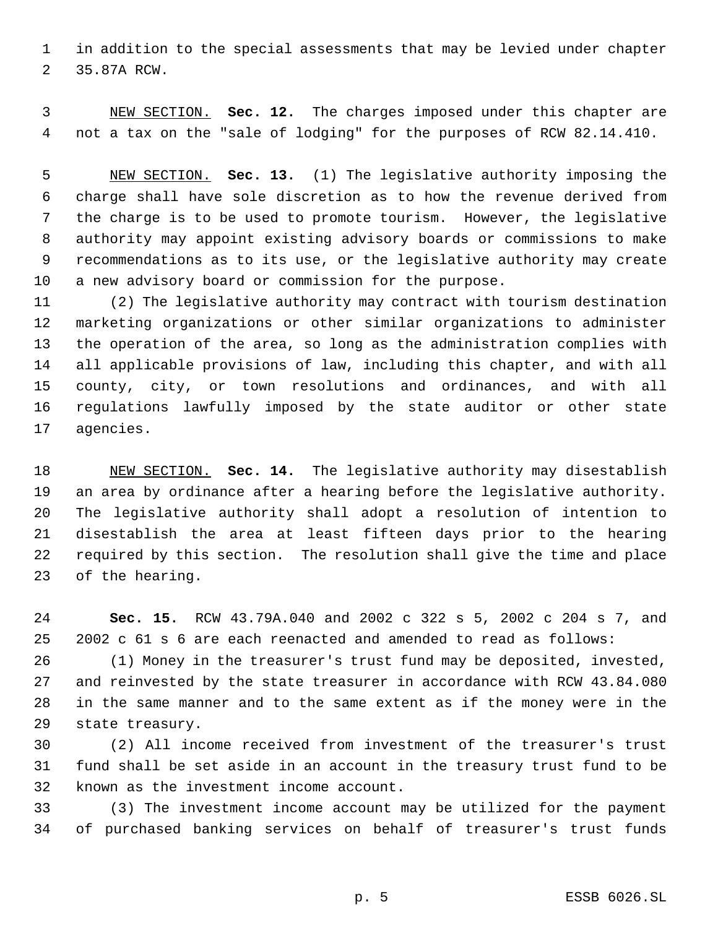in addition to the special assessments that may be levied under chapter 35.87A RCW.

 NEW SECTION. **Sec. 12.** The charges imposed under this chapter are not a tax on the "sale of lodging" for the purposes of RCW 82.14.410.

 NEW SECTION. **Sec. 13.** (1) The legislative authority imposing the charge shall have sole discretion as to how the revenue derived from the charge is to be used to promote tourism. However, the legislative authority may appoint existing advisory boards or commissions to make recommendations as to its use, or the legislative authority may create a new advisory board or commission for the purpose.

 (2) The legislative authority may contract with tourism destination marketing organizations or other similar organizations to administer the operation of the area, so long as the administration complies with all applicable provisions of law, including this chapter, and with all county, city, or town resolutions and ordinances, and with all regulations lawfully imposed by the state auditor or other state agencies.

 NEW SECTION. **Sec. 14.** The legislative authority may disestablish an area by ordinance after a hearing before the legislative authority. The legislative authority shall adopt a resolution of intention to disestablish the area at least fifteen days prior to the hearing required by this section. The resolution shall give the time and place of the hearing.

 **Sec. 15.** RCW 43.79A.040 and 2002 c 322 s 5, 2002 c 204 s 7, and 2002 c 61 s 6 are each reenacted and amended to read as follows:

 (1) Money in the treasurer's trust fund may be deposited, invested, and reinvested by the state treasurer in accordance with RCW 43.84.080 in the same manner and to the same extent as if the money were in the state treasury.

 (2) All income received from investment of the treasurer's trust fund shall be set aside in an account in the treasury trust fund to be known as the investment income account.

 (3) The investment income account may be utilized for the payment of purchased banking services on behalf of treasurer's trust funds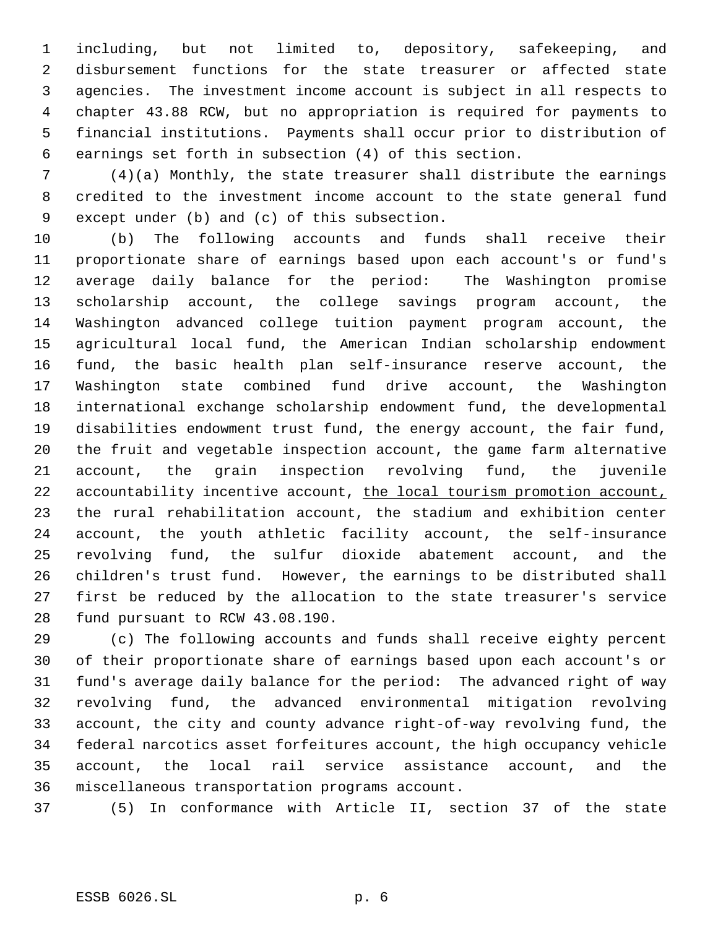including, but not limited to, depository, safekeeping, and disbursement functions for the state treasurer or affected state agencies. The investment income account is subject in all respects to chapter 43.88 RCW, but no appropriation is required for payments to financial institutions. Payments shall occur prior to distribution of earnings set forth in subsection (4) of this section.

 (4)(a) Monthly, the state treasurer shall distribute the earnings credited to the investment income account to the state general fund except under (b) and (c) of this subsection.

 (b) The following accounts and funds shall receive their proportionate share of earnings based upon each account's or fund's average daily balance for the period: The Washington promise scholarship account, the college savings program account, the Washington advanced college tuition payment program account, the agricultural local fund, the American Indian scholarship endowment fund, the basic health plan self-insurance reserve account, the Washington state combined fund drive account, the Washington international exchange scholarship endowment fund, the developmental disabilities endowment trust fund, the energy account, the fair fund, the fruit and vegetable inspection account, the game farm alternative account, the grain inspection revolving fund, the juvenile 22 accountability incentive account, the local tourism promotion account, the rural rehabilitation account, the stadium and exhibition center account, the youth athletic facility account, the self-insurance revolving fund, the sulfur dioxide abatement account, and the children's trust fund. However, the earnings to be distributed shall first be reduced by the allocation to the state treasurer's service fund pursuant to RCW 43.08.190.

 (c) The following accounts and funds shall receive eighty percent of their proportionate share of earnings based upon each account's or fund's average daily balance for the period: The advanced right of way revolving fund, the advanced environmental mitigation revolving account, the city and county advance right-of-way revolving fund, the federal narcotics asset forfeitures account, the high occupancy vehicle account, the local rail service assistance account, and the miscellaneous transportation programs account.

(5) In conformance with Article II, section 37 of the state